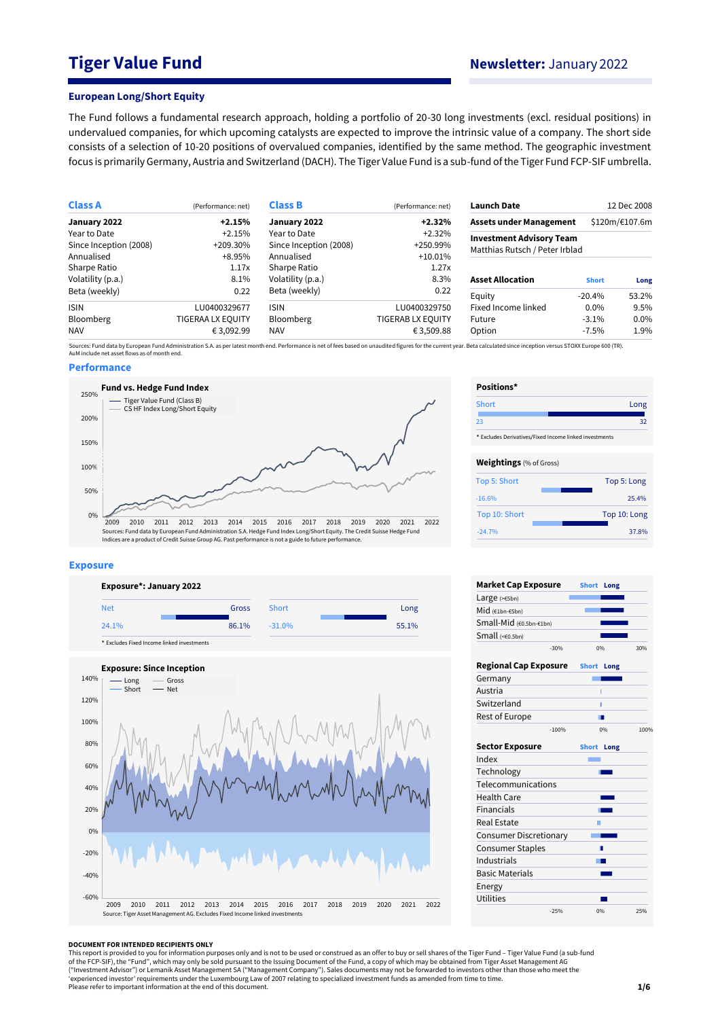# **Tiger Value Fund Newsletter:** January 2022

### **European Long/Short Equity**

The Fund follows a fundamental research approach, holding a portfolio of 20-30 long investments (excl. residual positions) in undervalued companies, for which upcoming catalysts are expected to improve the intrinsic value of a company. The short side consists of a selection of 10-20 positions of overvalued companies, identified by the same method. The geographic investment focus is primarily Germany, Austria and Switzerland (DACH). The Tiger Value Fund is a sub-fund of the Tiger Fund FCP-SIF umbrella.

| <b>Class A</b>         | (Performance: net)       | <b>Class B</b>            | (Performance: net) | <b>Launch Date</b>                                                |              | 12 Dec 2008    |  |
|------------------------|--------------------------|---------------------------|--------------------|-------------------------------------------------------------------|--------------|----------------|--|
| January 2022           | $+2.15%$                 | January 2022              | $+2.32%$           | <b>Assets under Management</b>                                    |              | \$120m/€107.6m |  |
| Year to Date           | $+2.15%$                 | Year to Date<br>$+2.32\%$ |                    |                                                                   |              |                |  |
| Since Inception (2008) | +209.30%                 | Since Inception (2008)    | +250.99%           | <b>Investment Advisory Team</b><br>Matthias Rutsch / Peter Irblad |              |                |  |
| Annualised             | $+8.95%$                 | Annualised                | $+10.01\%$         |                                                                   |              |                |  |
| Sharpe Ratio           | 1.17x                    | Sharpe Ratio              | 1.27x              |                                                                   |              |                |  |
| Volatility (p.a.)      | 8.1%                     | Volatility (p.a.)         | 8.3%               | <b>Asset Allocation</b>                                           | <b>Short</b> | Long           |  |
| Beta (weekly)          | 0.22                     | Beta (weekly)             | 0.22               | Equity                                                            | $-20.4%$     | 53.2%          |  |
| <b>ISIN</b>            | LU0400329677             | <b>ISIN</b>               | LU0400329750       | Fixed Income linked                                               | $0.0\%$      | 9.5%           |  |
| Bloomberg              | <b>TIGERAA LX EQUITY</b> | Bloomberg                 | TIGERAB LX EQUITY  | Future                                                            | $-3.1\%$     | 0.0%           |  |
| NAV                    | € 3,092.99               | <b>NAV</b>                | € 3,509.88         | Option                                                            | $-7.5\%$     | 1.9%           |  |

Sources: Fund data by European Fund Administration S.A. as per latest month end. Performance is net of fees based on unaudited figures for the current year. Beta calculated since inception versus STOXX Europe 600 (TR).<br>AuM

### **Performance**



#### **Exposure**





| Positions*                     |                                                        |  |  |  |  |
|--------------------------------|--------------------------------------------------------|--|--|--|--|
| Short                          | Long                                                   |  |  |  |  |
| 23                             | 32                                                     |  |  |  |  |
|                                | * Excludes Derivatives/Fixed Income linked investments |  |  |  |  |
| <b>Weightings</b> (% of Gross) |                                                        |  |  |  |  |
| Top 5: Short                   | Top 5: Long                                            |  |  |  |  |
| $-16.6%$                       | 25.4%                                                  |  |  |  |  |
| Top 10: Short                  | Top 10: Long                                           |  |  |  |  |
| $-24.7%$                       | 37.8%                                                  |  |  |  |  |

| <b>Market Cap Exposure</b>    |         | <b>Short</b> | Long |      |
|-------------------------------|---------|--------------|------|------|
| Large $(>=5bn)$               |         |              |      |      |
| Mid (€1bn-€5bn)               |         |              |      |      |
| Small-Mid (€0.5bn-€1bn)       |         |              |      |      |
| Small $(60.5bn)$              |         |              |      |      |
|                               | $-30%$  | 0%           |      | 30%  |
| <b>Regional Cap Exposure</b>  |         | <b>Short</b> | Long |      |
| Germany                       |         |              |      |      |
| Austria                       |         | ī            |      |      |
| Switzerland                   |         | Ī            |      |      |
| Rest of Europe                |         |              |      |      |
|                               | $-100%$ | 0%           |      | 100% |
| <b>Sector Exposure</b>        |         | <b>Short</b> | Long |      |
| Index                         |         |              |      |      |
| Technology                    |         |              |      |      |
| Telecommunications            |         |              |      |      |
| <b>Health Care</b>            |         |              |      |      |
| <b>Financials</b>             |         |              |      |      |
| <b>Real Estate</b>            |         |              |      |      |
| <b>Consumer Discretionary</b> |         |              |      |      |
| <b>Consumer Staples</b>       |         | п            |      |      |
| Industrials                   |         |              |      |      |
| <b>Basic Materials</b>        |         |              |      |      |
| Energy                        |         |              |      |      |
| Utilities                     |         |              |      |      |
|                               | $-25%$  | 0%           |      | 25%  |

#### **DOCUMENT FOR INTENDED RECIPIENTS ONLY**

This report is provided to you for information purposes only and is not to be used or construed as an offer to buy or sell shares of the Tiger Fund – Tiger Value Fund (a sub-fund<br>of the FCP-SIF), the "Fund", which may only ("Investment Advisor") or Lemanik Asset Management SA ("Management Company"). Sales documents may not be forwarded to investors other than those who meet the<br>'experienced investor' requirements under the Luxembourg Law of Please refer to important information at the end of this document.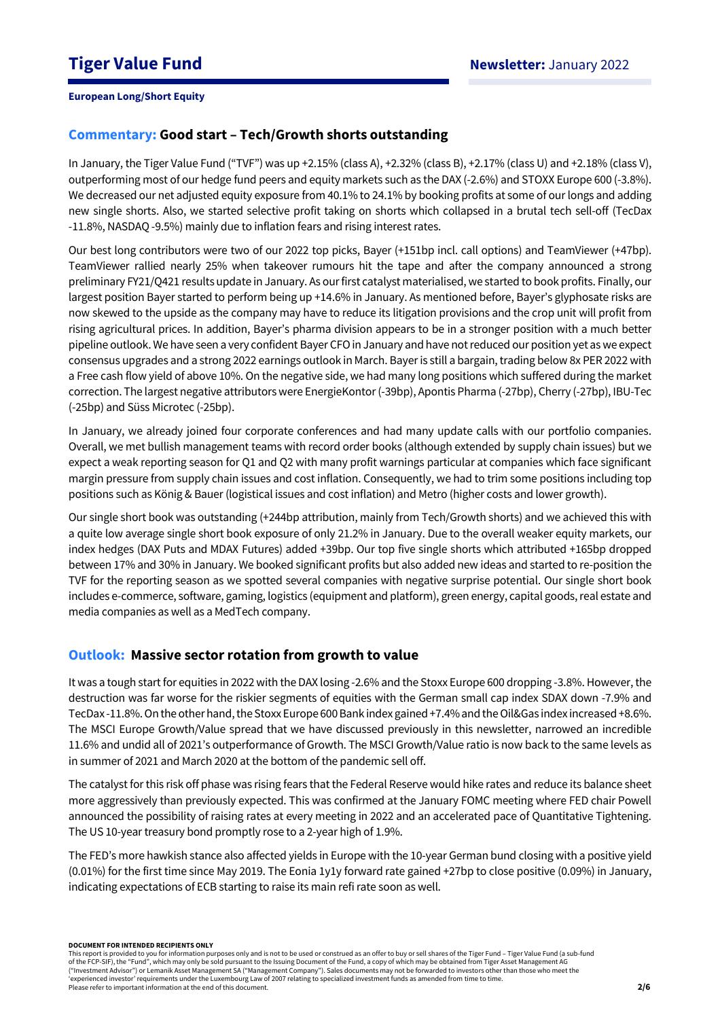# **Commentary: Good start – Tech/Growth shorts outstanding**

In January, the Tiger Value Fund ("TVF") was up +2.15% (class A), +2.32% (class B), +2.17% (class U) and +2.18% (class V), outperforming most of our hedge fund peers and equity markets such as the DAX (-2.6%) and STOXX Europe 600 (-3.8%). We decreased our net adjusted equity exposure from 40.1% to 24.1% by booking profits at some of our longs and adding new single shorts. Also, we started selective profit taking on shorts which collapsed in a brutal tech sell-off (TecDax -11.8%, NASDAQ -9.5%) mainly due to inflation fears and rising interest rates.

Our best long contributors were two of our 2022 top picks, Bayer (+151bp incl. call options) and TeamViewer (+47bp). TeamViewer rallied nearly 25% when takeover rumours hit the tape and after the company announced a strong preliminary FY21/Q421 results update in January. As our first catalyst materialised, we started to book profits. Finally, our largest position Bayer started to perform being up +14.6% in January. As mentioned before, Bayer's glyphosate risks are now skewed to the upside as the company may have to reduce its litigation provisions and the crop unit will profit from rising agricultural prices. In addition, Bayer's pharma division appears to be in a stronger position with a much better pipeline outlook. We have seen a very confident Bayer CFO in January and have not reduced our position yet as we expect consensus upgrades and a strong 2022 earnings outlook in March. Bayer is still a bargain, trading below 8x PER 2022 with a Free cash flow yield of above 10%. On the negative side, we had many long positions which suffered during the market correction. The largest negative attributors were EnergieKontor(-39bp), Apontis Pharma (-27bp), Cherry (-27bp), IBU-Tec (-25bp) and Süss Microtec (-25bp).

In January, we already joined four corporate conferences and had many update calls with our portfolio companies. Overall, we met bullish management teams with record order books (although extended by supply chain issues) but we expect a weak reporting season for Q1 and Q2 with many profit warnings particular at companies which face significant margin pressure from supply chain issues and cost inflation. Consequently, we had to trim some positions including top positions such as König & Bauer (logistical issues and cost inflation) and Metro (higher costs and lower growth).

Our single short book was outstanding (+244bp attribution, mainly from Tech/Growth shorts) and we achieved this with a quite low average single short book exposure of only 21.2% in January. Due to the overall weaker equity markets, our index hedges (DAX Puts and MDAX Futures) added +39bp. Our top five single shorts which attributed +165bp dropped between 17% and 30% in January. We booked significant profits but also added new ideas and started to re-position the TVF for the reporting season as we spotted several companies with negative surprise potential. Our single short book includes e-commerce, software, gaming, logistics (equipment and platform), green energy, capital goods, real estate and media companies as well as a MedTech company.

## **Outlook: Massive sector rotation from growth to value**

It was a tough start for equities in 2022 with the DAX losing -2.6% and the Stoxx Europe 600 dropping -3.8%. However, the destruction was far worse for the riskier segments of equities with the German small cap index SDAX down -7.9% and TecDax -11.8%. On the other hand, the Stoxx Europe 600 Bank index gained +7.4% and the Oil&Gas index increased +8.6%. The MSCI Europe Growth/Value spread that we have discussed previously in this newsletter, narrowed an incredible 11.6% and undid all of 2021's outperformance of Growth. The MSCI Growth/Value ratio is now back to the same levels as in summer of 2021 and March 2020 at the bottom of the pandemic sell off.

The catalyst for this risk off phase was rising fears that the Federal Reserve would hike rates and reduce its balance sheet more aggressively than previously expected. This was confirmed at the January FOMC meeting where FED chair Powell announced the possibility of raising rates at every meeting in 2022 and an accelerated pace of Quantitative Tightening. The US 10-year treasury bond promptly rose to a 2-year high of 1.9%.

The FED's more hawkish stance also affected yields in Europe with the 10-year German bund closing with a positive yield (0.01%) for the first time since May 2019. The Eonia 1y1y forward rate gained +27bp to close positive (0.09%) in January, indicating expectations of ECB starting to raise its main refi rate soon as well.

#### **DOCUMENT FOR INTENDED RECIPIENTS ONLY**

This report is provided to you for information purposes only and is not to be used or construed as an offer to buy or sell shares of the Tiger Fund – Tiger Value Fund (a sub-fund of the FCP-SIF), the "Fund", which may only be sold pursuant to the Issuing Document of the Fund, a copy of which may be obtained from Tiger Asset Management AG ("Investment Advisor") or Lemanik Asset Management SA ("Management Company"). Sales documents may not be forwarded to investors other than those who meet the 'experienced investor' requirements under the Luxembourg Law of 2007 relating to specialized investment funds as amended from time to time. Please refer to important information at the end of this document.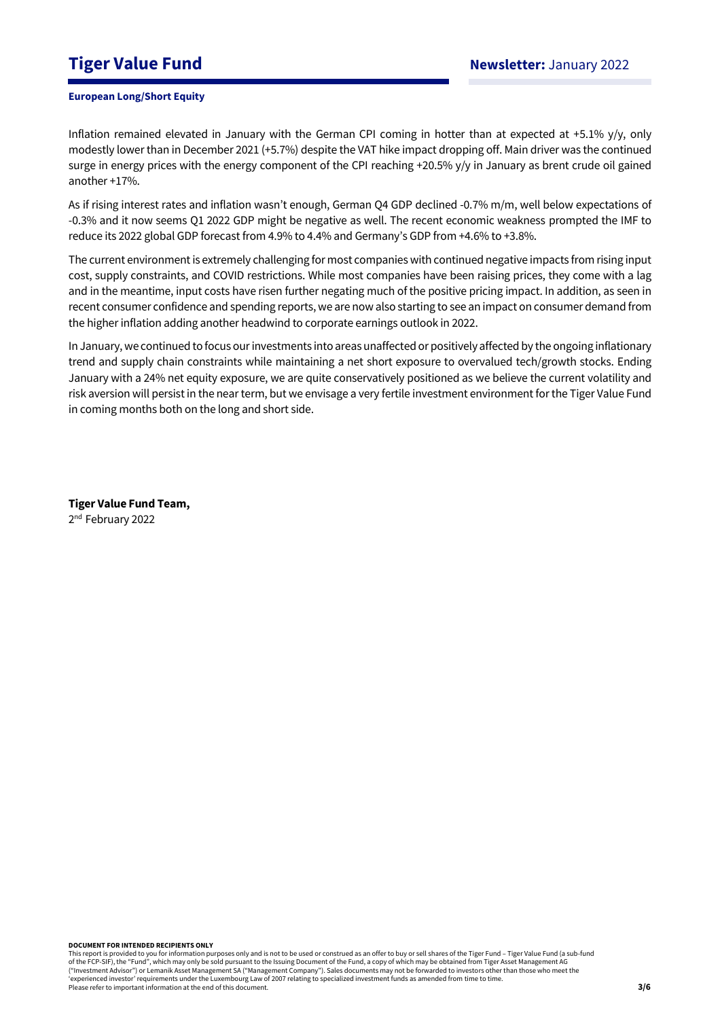# **Tiger Value Fund Newsletter:** January 2022

### **European Long/Short Equity**

Inflation remained elevated in January with the German CPI coming in hotter than at expected at +5.1% y/y, only modestly lower than in December 2021 (+5.7%) despite the VAT hike impact dropping off. Main driver was the continued surge in energy prices with the energy component of the CPI reaching +20.5% y/y in January as brent crude oil gained another +17%.

As if rising interest rates and inflation wasn't enough, German Q4 GDP declined -0.7% m/m, well below expectations of -0.3% and it now seems Q1 2022 GDP might be negative as well. The recent economic weakness prompted the IMF to reduce its 2022 global GDP forecast from 4.9% to 4.4% and Germany's GDP from +4.6% to +3.8%.

The current environment is extremely challenging for most companies with continued negative impacts from rising input cost, supply constraints, and COVID restrictions. While most companies have been raising prices, they come with a lag and in the meantime, input costs have risen further negating much of the positive pricing impact. In addition, as seen in recent consumer confidence and spending reports, we are now also starting to see an impact on consumer demand from the higher inflation adding another headwind to corporate earnings outlook in 2022.

In January, we continued to focus our investments into areas unaffected or positively affected by the ongoing inflationary trend and supply chain constraints while maintaining a net short exposure to overvalued tech/growth stocks. Ending January with a 24% net equity exposure, we are quite conservatively positioned as we believe the current volatility and risk aversion will persist in the near term, but we envisage a very fertile investment environment for the Tiger Value Fund in coming months both on the long and short side.

**Tiger Value Fund Team,**  2<sup>nd</sup> February 2022

**DOCUMENT FOR INTENDED RECIPIENTS ONLY**

This report is provided to you for information purposes only and is not to be used or construed as an offer to buy or sell shares of the Tiger Fund – Tiger Value Fund (a sub-fund of the FCP-SIF), the "Fund", which may only be sold pursuant to the Issuing Document of the Fund, a copy of which may be obtained from Tiger Asset Management AG ("Investment Advisor") or Lemanik Asset Management SA ("Management Company"). Sales documents may not be forwarded to investors other than those who meet the 'experienced investor' requirements under the Luxembourg Law of 2007 relating to specialized investment funds as amended from time to time. Please refer to important information at the end of this document.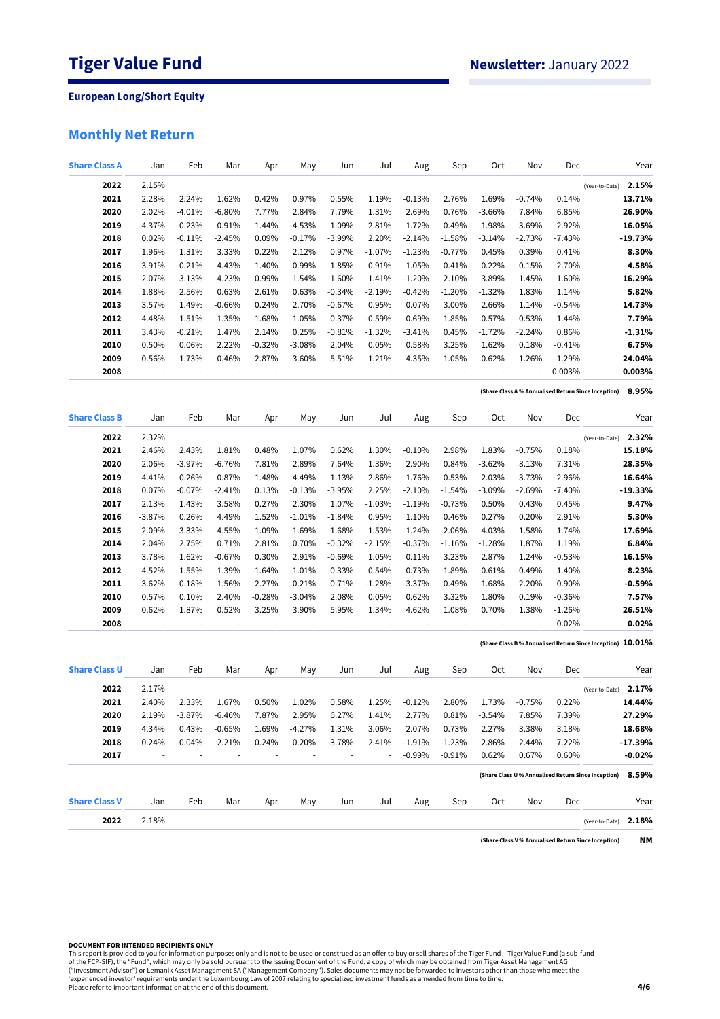# **Monthly Net Return**

| <b>Share Class A</b> | Jan      | Feb      | Mar       | Apr            | May      | Jun            | Jul      | Aug       | Sep      | Oct      | Nov       | Dec      |                                                               | Year      |
|----------------------|----------|----------|-----------|----------------|----------|----------------|----------|-----------|----------|----------|-----------|----------|---------------------------------------------------------------|-----------|
| 2022                 | 2.15%    |          |           |                |          |                |          |           |          |          |           |          | (Year-to-Date)                                                | 2.15%     |
| 2021                 | 2.28%    | 2.24%    | 1.62%     | 0.42%          | 0.97%    | 0.55%          | 1.19%    | $-0.13%$  | 2.76%    | 1.69%    | $-0.74%$  | 0.14%    |                                                               | 13.71%    |
| 2020                 | 2.02%    | $-4.01%$ | $-6.80%$  | 7.77%          | 2.84%    | 7.79%          | 1.31%    | 2.69%     | 0.76%    | $-3.66%$ | 7.84%     | 6.85%    |                                                               | 26.90%    |
| 2019                 | 4.37%    | 0.23%    | $-0.91%$  | 1.44%          | $-4.53%$ | 1.09%          | 2.81%    | 1.72%     | 0.49%    | 1.98%    | 3.69%     | 2.92%    |                                                               | 16.05%    |
| 2018                 | 0.02%    | $-0.11%$ | $-2.45%$  | 0.09%          | $-0.17%$ | $-3.99%$       | 2.20%    | $-2.14%$  | $-1.58%$ | $-3.14%$ | $-2.73%$  | $-7.43%$ |                                                               | $-19.73%$ |
| 2017                 | 1.96%    | 1.31%    | 3.33%     | 0.22%          | 2.12%    | 0.97%          | $-1.07%$ | $-1.23%$  | $-0.77%$ | 0.45%    | 0.39%     | 0.41%    |                                                               | 8.30%     |
| 2016                 | $-3.91%$ | 0.21%    | 4.43%     | 1.40%          | $-0.99%$ | $-1.85%$       | 0.91%    | 1.05%     | 0.41%    | 0.22%    | 0.15%     | 2.70%    |                                                               | 4.58%     |
| 2015                 | 2.07%    | 3.13%    | 4.23%     | 0.99%          | 1.54%    | $-1.60%$       | 1.41%    | $-1.20%$  | $-2.10%$ | 3.89%    | 1.45%     | 1.60%    |                                                               | 16.29%    |
| 2014                 | 1.88%    | 2.56%    | 0.63%     | 2.61%          | 0.63%    | $-0.34%$       | $-2.19%$ | $-0.42%$  | $-1.20%$ | $-1.32%$ | 1.83%     | 1.14%    |                                                               | 5.82%     |
| 2013                 | 3.57%    | 1.49%    | $-0.66\%$ | 0.24%          | 2.70%    | $-0.67%$       | 0.95%    | 0.07%     | 3.00%    | 2.66%    | 1.14%     | $-0.54%$ |                                                               | 14.73%    |
| 2012                 | 4.48%    | 1.51%    | 1.35%     | $-1.68%$       | $-1.05%$ | $-0.37%$       | $-0.59%$ | 0.69%     | 1.85%    | 0.57%    | $-0.53%$  | 1.44%    |                                                               | 7.79%     |
| 2011                 | 3.43%    | $-0.21%$ | 1.47%     | 2.14%          | 0.25%    | $-0.81%$       | $-1.32%$ | $-3.41%$  | 0.45%    | $-1.72%$ | $-2.24%$  | 0.86%    |                                                               | $-1.31%$  |
| 2010                 | 0.50%    | 0.06%    | 2.22%     | $-0.32%$       | $-3.08%$ | 2.04%          | 0.05%    | 0.58%     | 3.25%    | 1.62%    | 0.18%     | $-0.41%$ |                                                               | 6.75%     |
| 2009                 | 0.56%    | 1.73%    | 0.46%     | 2.87%          | 3.60%    | 5.51%          | 1.21%    | 4.35%     | 1.05%    | 0.62%    | 1.26%     | $-1.29%$ |                                                               | 24.04%    |
| 2008                 |          |          |           |                |          |                |          |           |          |          |           | 0.003%   |                                                               | 0.003%    |
|                      |          |          |           |                |          |                |          |           |          |          |           |          | (Share Class A % Annualised Return Since Inception)           | 8.95%     |
| <b>Share Class B</b> | Jan      | Feb      | Mar       | Apr            | May      | Jun            | Jul      | Aug       | Sep      | Oct      | Nov       | Dec      |                                                               | Year      |
| 2022                 | 2.32%    |          |           |                |          |                |          |           |          |          |           |          |                                                               | 2.32%     |
|                      | 2.46%    | 2.43%    | 1.81%     | 0.48%          | 1.07%    |                | 1.30%    | $-0.10%$  | 2.98%    | 1.83%    |           | 0.18%    | (Year-to-Date)                                                | 15.18%    |
| 2021<br>2020         | 2.06%    | $-3.97%$ | $-6.76%$  | 7.81%          | 2.89%    | 0.62%<br>7.64% | 1.36%    | 2.90%     | 0.84%    | $-3.62%$ | $-0.75%$  |          |                                                               | 28.35%    |
|                      |          |          |           |                |          |                |          |           |          |          | 8.13%     | 7.31%    |                                                               | 16.64%    |
| 2019                 | 4.41%    | 0.26%    | $-0.87%$  | 1.48%          | $-4.49%$ | 1.13%          | 2.86%    | 1.76%     | 0.53%    | 2.03%    | 3.73%     | 2.96%    |                                                               |           |
| 2018                 | 0.07%    | $-0.07%$ | $-2.41%$  | 0.13%          | $-0.13%$ | $-3.95%$       | 2.25%    | $-2.10%$  | $-1.54%$ | $-3.09%$ | $-2.69\%$ | $-7.40%$ |                                                               | $-19.33%$ |
| 2017                 | 2.13%    | 1.43%    | 3.58%     | 0.27%          | 2.30%    | 1.07%          | $-1.03%$ | $-1.19%$  | $-0.73%$ | 0.50%    | 0.43%     | 0.45%    |                                                               | 9.47%     |
| 2016                 | $-3.87%$ | 0.26%    | 4.49%     | 1.52%          | $-1.01%$ | $-1.84%$       | 0.95%    | 1.10%     | 0.46%    | 0.27%    | 0.20%     | 2.91%    |                                                               | 5.30%     |
| 2015                 | 2.09%    | 3.33%    | 4.55%     | 1.09%          | 1.69%    | $-1.68%$       | 1.53%    | $-1.24%$  | $-2.06%$ | 4.03%    | 1.58%     | 1.74%    |                                                               | 17.69%    |
| 2014                 | 2.04%    | 2.75%    | 0.71%     | 2.81%          | 0.70%    | $-0.32%$       | $-2.15%$ | $-0.37%$  | $-1.16%$ | $-1.28%$ | 1.87%     | 1.19%    |                                                               | 6.84%     |
| 2013                 | 3.78%    | 1.62%    | $-0.67%$  | 0.30%          | 2.91%    | $-0.69%$       | 1.05%    | 0.11%     | 3.23%    | 2.87%    | 1.24%     | $-0.53%$ |                                                               | 16.15%    |
| 2012                 | 4.52%    | 1.55%    | 1.39%     | $-1.64%$       | $-1.01%$ | $-0.33%$       | $-0.54%$ | 0.73%     | 1.89%    | 0.61%    | $-0.49%$  | 1.40%    |                                                               | 8.23%     |
| 2011                 | 3.62%    | $-0.18%$ | 1.56%     | 2.27%          | 0.21%    | $-0.71%$       | $-1.28%$ | $-3.37\%$ | 0.49%    | $-1.68%$ | $-2.20%$  | 0.90%    |                                                               | $-0.59%$  |
| 2010                 | 0.57%    | 0.10%    | 2.40%     | $-0.28%$       | $-3.04%$ | 2.08%          | 0.05%    | 0.62%     | 3.32%    | 1.80%    | 0.19%     | $-0.36%$ |                                                               | 7.57%     |
| 2009                 | 0.62%    | 1.87%    | 0.52%     | 3.25%          | 3.90%    | 5.95%          | 1.34%    | 4.62%     | 1.08%    | 0.70%    | 1.38%     | $-1.26%$ |                                                               | 26.51%    |
| 2008                 |          |          |           |                |          |                |          |           |          |          |           | 0.02%    | (Share Class B % Annualised Return Since Inception) $10.01\%$ | 0.02%     |
|                      |          |          |           |                |          |                |          |           |          |          |           |          |                                                               |           |
| <b>Share Class U</b> | Jan      | Feb      | Mar       | Apr            | May      | Jun            | Jul      | Aug       | Sep      | Oct      | Nov       | Dec      |                                                               | Year      |
| 2022                 | 2.17%    |          |           |                |          |                |          |           |          |          |           |          | (Year-to-Date)                                                | 2.17%     |
| 2021                 | 2.40%    | 2.33%    | 1.67%     | 0.50%          | 1.02%    | 0.58%          | 1.25%    | $-0.12%$  | 2.80%    | 1.73%    | -0.75%    | 0.22%    |                                                               | 14.44%    |
| 2020                 | 2.19%    | $-3.87%$ | $-6.46%$  | 7.87%          | 2.95%    | 6.27%          | 1.41%    | 2.77%     | 0.81%    | $-3.54%$ | 7.85%     | 7.39%    |                                                               | 27.29%    |
| 2019                 | 4.34%    | 0.43%    | $-0.65%$  | 1.69%          | $-4.27%$ | 1.31%          | 3.06%    | 2.07%     | 0.73%    | 2.27%    | 3.38%     | 3.18%    |                                                               | 18.68%    |
| 2018                 | 0.24%    | $-0.04%$ | $-2.21%$  | 0.24%          | 0.20%    | $-3.78%$       | 2.41%    | $-1.91%$  | $-1.23%$ | $-2.86%$ | -2.44%    | $-7.22%$ |                                                               | -17.39%   |
| 2017                 |          | ÷,       |           | $\overline{a}$ | ä,       |                | ÷,       | $-0.99%$  | $-0.91%$ | 0.62%    | 0.67%     | 0.60%    |                                                               | $-0.02%$  |
|                      |          |          |           |                |          |                |          |           |          |          |           |          | (Share Class U % Annualised Return Since Inception)           | 8.59%     |
| <b>Share Class V</b> | Jan      | Feb      | Mar       | Apr            | May      | Jun            | Jul      | Aug       | Sep      | Oct      | Nov       | Dec      |                                                               | Year      |
| 2022                 | 2.18%    |          |           |                |          |                |          |           |          |          |           |          | (Year-to-Date)                                                | 2.18%     |
|                      |          |          |           |                |          |                |          |           |          |          |           |          | (Share Class V % Annualised Return Since Inception)           | NΜ        |

### **DOCUMENT FOR INTENDED RECIPIENTS ONLY**

This report is provided to you for information purposes only and is not to be used or construed as an offer to buy or sell shares of the Tiger Fund – Tiger Value Fund (a sub-fund<br>of the FCP-SIF), the "Fund", which may only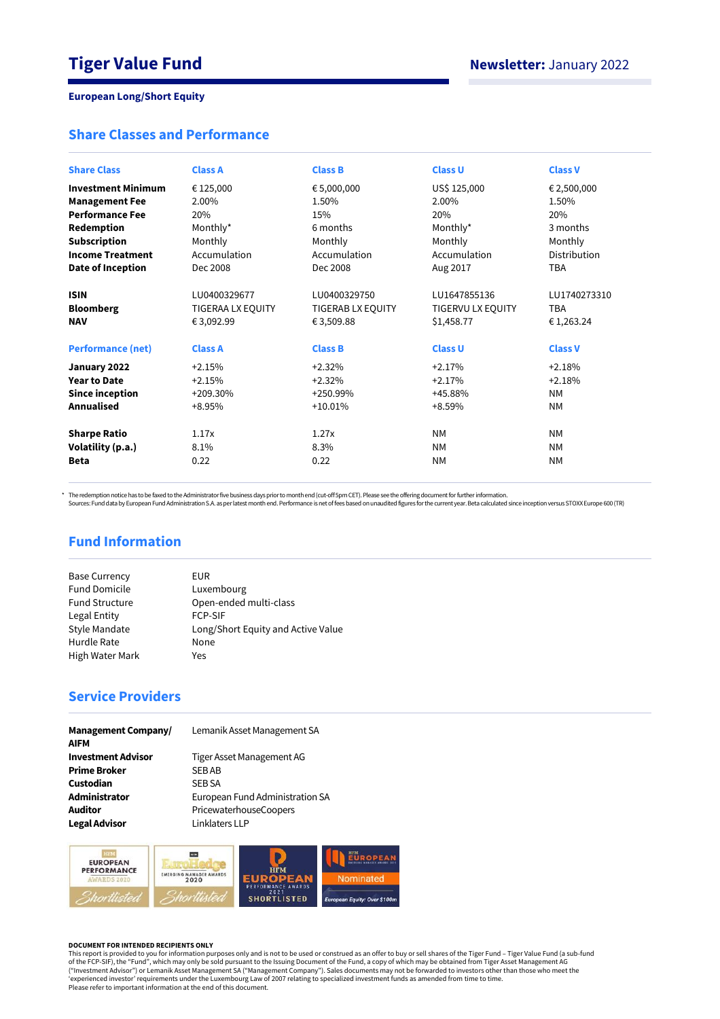# **Share Classes and Performance**

| <b>Share Class</b>        | <b>Class A</b>    | <b>Class B</b>    | <b>Class U</b>    | <b>Class V</b> |
|---------------------------|-------------------|-------------------|-------------------|----------------|
|                           |                   |                   |                   |                |
| <b>Investment Minimum</b> | € 125,000         | € 5,000,000       | US\$ 125,000      | € 2,500,000    |
| <b>Management Fee</b>     | 2.00%             | 1.50%             | 2.00%             | 1.50%          |
| <b>Performance Fee</b>    | 20%               | 15%               | 20%               | 20%            |
| Redemption                | Monthly*          | 6 months          | Monthly*          | 3 months       |
| <b>Subscription</b>       | Monthly           | Monthly           | Monthly           | Monthly        |
| <b>Income Treatment</b>   | Accumulation      | Accumulation      | Accumulation      | Distribution   |
| Date of Inception         | Dec 2008          | Dec 2008          | Aug 2017          | <b>TBA</b>     |
|                           |                   |                   |                   |                |
| <b>ISIN</b>               | LU0400329677      | LU0400329750      | LU1647855136      | LU1740273310   |
| <b>Bloomberg</b>          | TIGERAA LX EQUITY | TIGERAB LX EQUITY | TIGERVU LX EQUITY | <b>TBA</b>     |
| <b>NAV</b>                | € 3,092.99        | € 3,509.88        | \$1,458.77        | €1,263.24      |
|                           |                   |                   |                   |                |
| <b>Performance (net)</b>  | <b>Class A</b>    | <b>Class B</b>    | <b>Class U</b>    | <b>Class V</b> |
| January 2022              | $+2.15%$          | $+2.32%$          | $+2.17%$          | $+2.18%$       |
| <b>Year to Date</b>       | $+2.15%$          | $+2.32%$          | $+2.17%$          | $+2.18%$       |
| <b>Since inception</b>    | $+209.30%$        | $+250.99%$        | +45.88%           | <b>NM</b>      |
| <b>Annualised</b>         | $+8.95%$          | $+10.01%$         | $+8.59%$          | <b>NM</b>      |
|                           |                   |                   |                   |                |
| <b>Sharpe Ratio</b>       | 1.17x             | 1.27x             | <b>NM</b>         | <b>NM</b>      |
| Volatility (p.a.)         | 8.1%              | 8.3%              | <b>NM</b>         | <b>NM</b>      |
| <b>Beta</b>               | 0.22              | 0.22              | <b>NM</b>         | <b>NM</b>      |
|                           |                   |                   |                   |                |

\* The redemption notice has to be faxed to the Administrator five business days prior to month end (cut-off 5pm CET). Please see the offering document for further information.<br>Sources: Fund data by European Fund Administra

# **Fund Information**

| <b>Base Currency</b>  | EUR                                |
|-----------------------|------------------------------------|
| <b>Fund Domicile</b>  | Luxembourg                         |
| <b>Fund Structure</b> | Open-ended multi-class             |
| Legal Entity          | <b>FCP-SIF</b>                     |
| <b>Style Mandate</b>  | Long/Short Equity and Active Value |
| Hurdle Rate           | None                               |
| High Water Mark       | Yes                                |
|                       |                                    |

# **Service Providers**

| <b>Management Company/</b><br><b>AIFM</b> | Lemanik Asset Management SA     |
|-------------------------------------------|---------------------------------|
| <b>Investment Advisor</b>                 | Tiger Asset Management AG       |
| <b>Prime Broker</b>                       | <b>SEBAB</b>                    |
| Custodian                                 | <b>SEB SA</b>                   |
| Administrator                             | European Fund Administration SA |
| <b>Auditor</b>                            | PricewaterhouseCoopers          |
| <b>Legal Advisor</b>                      | Linklaters LLP                  |



#### **DOCUMENT FOR INTENDED RECIPIENTS ONLY**

This report is provided to you for information purposes only and is not to be used or construed as an offer to buy or sell shares of the Tiger Fund – Tiger Value Fund (a sub-fund<br>of the FCP-SIF), the "Fund", which may only